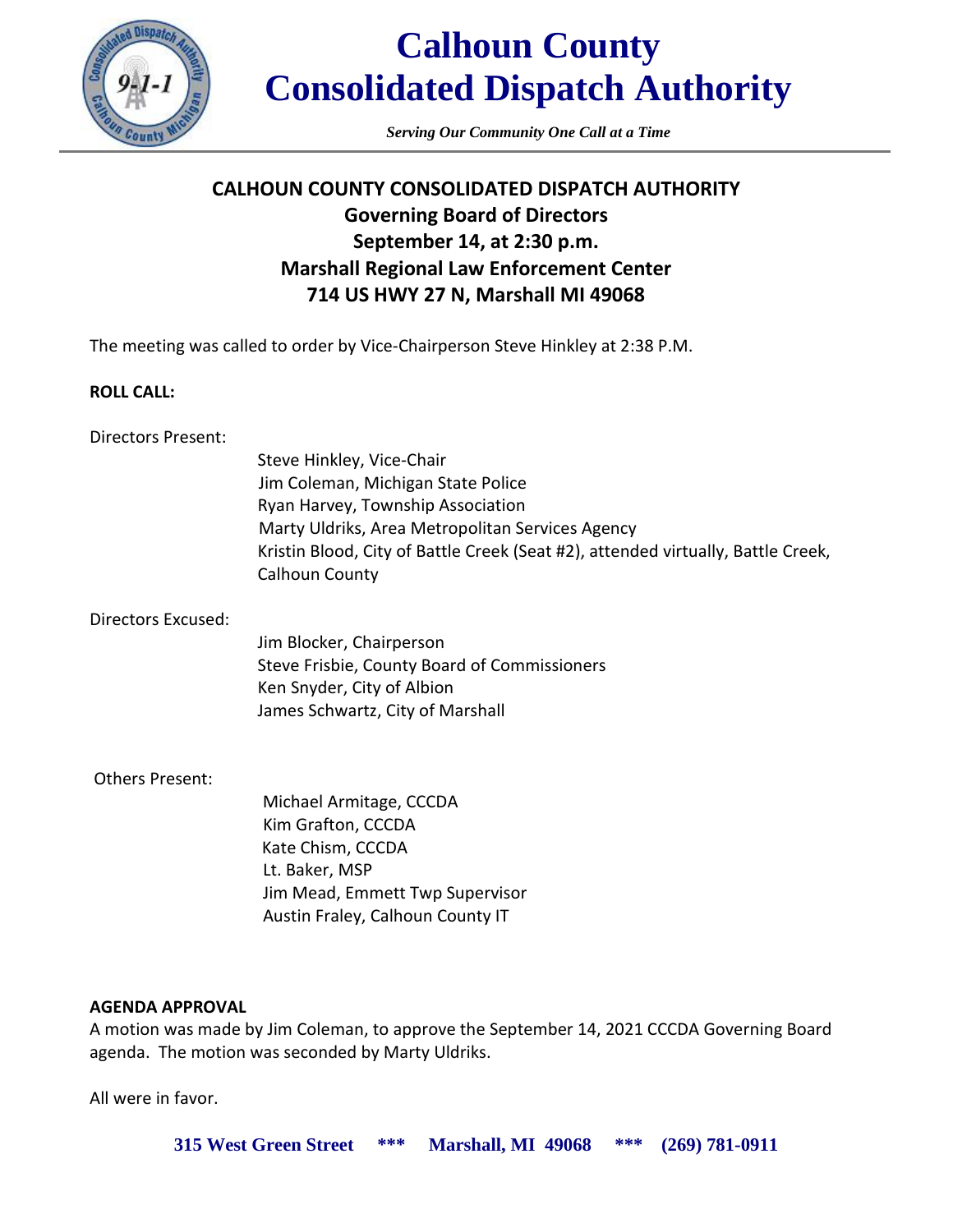

# **Calhoun County Consolidated Dispatch Authority**

*Serving Our Community One Call at a Time*

# **CALHOUN COUNTY CONSOLIDATED DISPATCH AUTHORITY Governing Board of Directors September 14, at 2:30 p.m. Marshall Regional Law Enforcement Center 714 US HWY 27 N, Marshall MI 49068**

The meeting was called to order by Vice-Chairperson Steve Hinkley at 2:38 P.M.

#### **ROLL CALL:**

| Directors Present:     |                                                                                                    |
|------------------------|----------------------------------------------------------------------------------------------------|
|                        | Steve Hinkley, Vice-Chair                                                                          |
|                        | Jim Coleman, Michigan State Police                                                                 |
|                        | Ryan Harvey, Township Association                                                                  |
|                        | Marty Uldriks, Area Metropolitan Services Agency                                                   |
|                        | Kristin Blood, City of Battle Creek (Seat #2), attended virtually, Battle Creek,<br>Calhoun County |
| Directors Excused:     |                                                                                                    |
|                        | Jim Blocker, Chairperson                                                                           |
|                        | Steve Frisbie, County Board of Commissioners                                                       |
|                        | Ken Snyder, City of Albion                                                                         |
|                        | James Schwartz, City of Marshall                                                                   |
| <b>Others Present:</b> |                                                                                                    |
|                        | Michael Armitage, CCCDA                                                                            |
|                        | Kim Grafton, CCCDA                                                                                 |
|                        | Kate Chism, CCCDA                                                                                  |
|                        | Lt. Baker, MSP                                                                                     |
|                        | Jim Mead, Emmett Twp Supervisor                                                                    |
|                        | Austin Fraley, Calhoun County IT                                                                   |

#### **AGENDA APPROVAL**

A motion was made by Jim Coleman, to approve the September 14, 2021 CCCDA Governing Board agenda. The motion was seconded by Marty Uldriks.

All were in favor.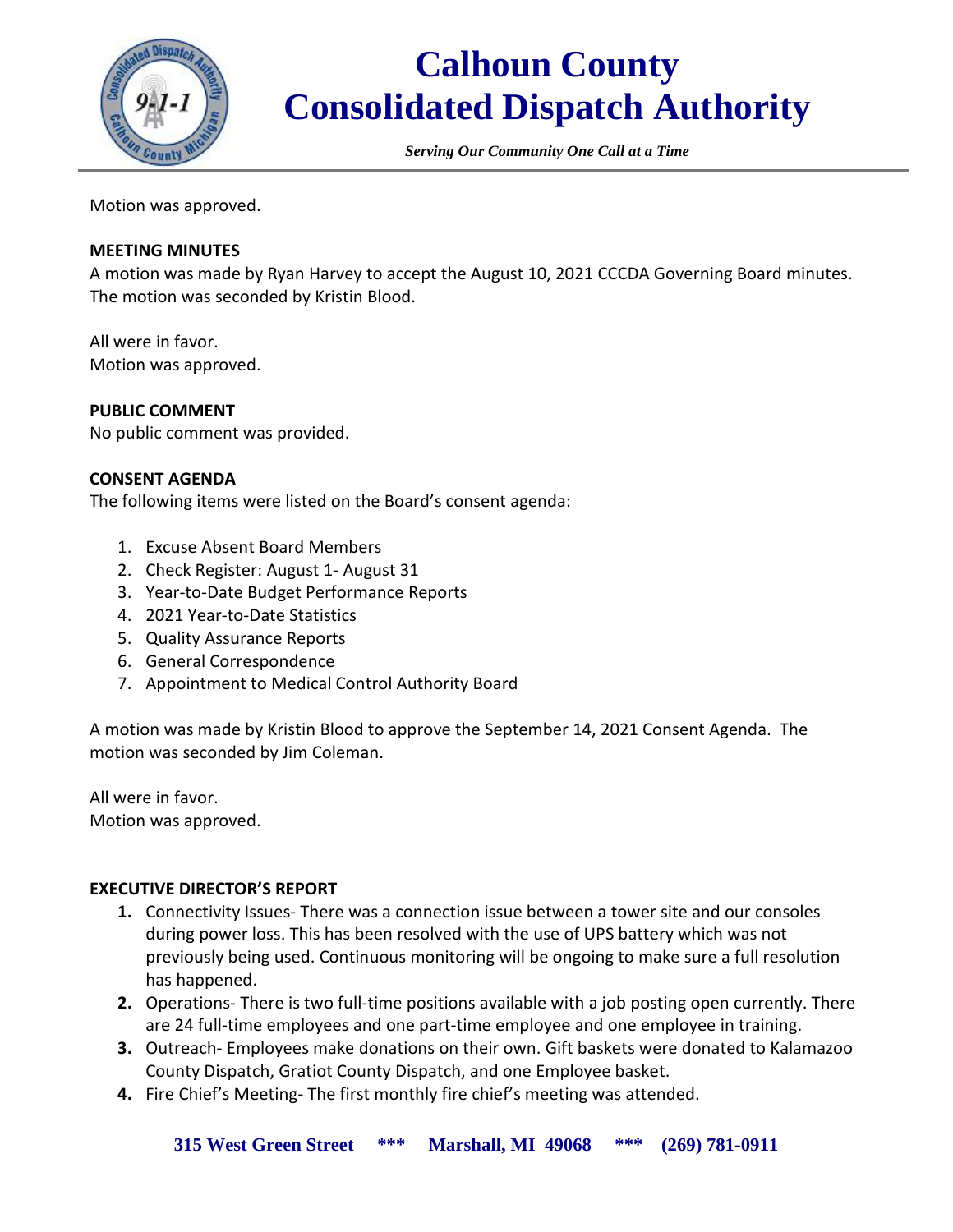

# **Calhoun County Consolidated Dispatch Authority**

*Serving Our Community One Call at a Time*

Motion was approved.

### **MEETING MINUTES**

A motion was made by Ryan Harvey to accept the August 10, 2021 CCCDA Governing Board minutes. The motion was seconded by Kristin Blood.

All were in favor. Motion was approved.

#### **PUBLIC COMMENT**

No public comment was provided.

#### **CONSENT AGENDA**

The following items were listed on the Board's consent agenda:

- 1. Excuse Absent Board Members
- 2. Check Register: August 1- August 31
- 3. Year-to-Date Budget Performance Reports
- 4. 2021 Year-to-Date Statistics
- 5. Quality Assurance Reports
- 6. General Correspondence
- 7. Appointment to Medical Control Authority Board

A motion was made by Kristin Blood to approve the September 14, 2021 Consent Agenda. The motion was seconded by Jim Coleman.

All were in favor. Motion was approved.

#### **EXECUTIVE DIRECTOR'S REPORT**

- **1.** Connectivity Issues- There was a connection issue between a tower site and our consoles during power loss. This has been resolved with the use of UPS battery which was not previously being used. Continuous monitoring will be ongoing to make sure a full resolution has happened.
- **2.** Operations- There is two full-time positions available with a job posting open currently. There are 24 full-time employees and one part-time employee and one employee in training.
- **3.** Outreach- Employees make donations on their own. Gift baskets were donated to Kalamazoo County Dispatch, Gratiot County Dispatch, and one Employee basket.
- **4.** Fire Chief's Meeting- The first monthly fire chief's meeting was attended.